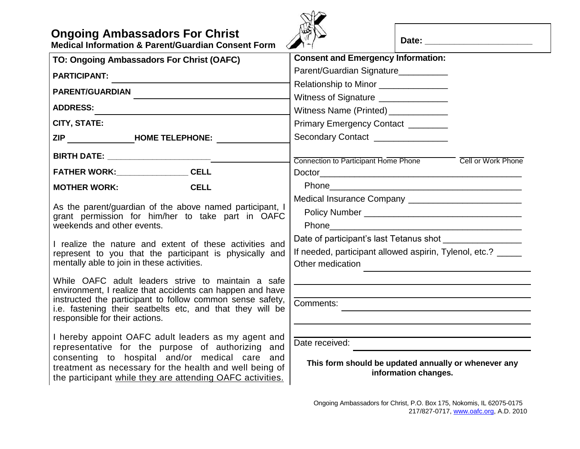| <b>Ongoing Ambassadors For Christ</b> |  |  |  |
|---------------------------------------|--|--|--|
|---------------------------------------|--|--|--|

**Medical Information & Parent/Guardian Consent Form**



Date:

| TO: Ongoing Ambassadors For Christ (OAFC)                                                                              | <b>Consent and Emergency Information:</b>                                    |  |  |
|------------------------------------------------------------------------------------------------------------------------|------------------------------------------------------------------------------|--|--|
| <b>PARTICIPANT:</b>                                                                                                    | Parent/Guardian Signature_________                                           |  |  |
| <b>PARENT/GUARDIAN</b>                                                                                                 | Relationship to Minor _______________                                        |  |  |
|                                                                                                                        | Witness of Signature ______________                                          |  |  |
| <b>ADDRESS:</b>                                                                                                        | Witness Name (Printed) ____________                                          |  |  |
| <b>CITY, STATE:</b>                                                                                                    | Primary Emergency Contact _______                                            |  |  |
| ZIP HOME TELEPHONE:                                                                                                    | Secondary Contact _______________                                            |  |  |
|                                                                                                                        |                                                                              |  |  |
|                                                                                                                        | Connection to Participant Home Phone Cell or Work Phone                      |  |  |
| FATHER WORK:_________________CELL                                                                                      |                                                                              |  |  |
| <b>CELL</b><br><b>MOTHER WORK:</b>                                                                                     |                                                                              |  |  |
| As the parent/guardian of the above named participant, I                                                               |                                                                              |  |  |
| grant permission for him/her to take part in OAFC                                                                      |                                                                              |  |  |
| weekends and other events.                                                                                             |                                                                              |  |  |
| I realize the nature and extent of these activities and                                                                |                                                                              |  |  |
| represent to you that the participant is physically and                                                                | If needed, participant allowed aspirin, Tylenol, etc.? _____                 |  |  |
| mentally able to join in these activities.                                                                             | Other medication                                                             |  |  |
| While OAFC adult leaders strive to maintain a safe                                                                     |                                                                              |  |  |
| environment, I realize that accidents can happen and have                                                              |                                                                              |  |  |
| instructed the participant to follow common sense safety,<br>i.e. fastening their seatbelts etc, and that they will be | Comments:                                                                    |  |  |
| responsible for their actions.                                                                                         |                                                                              |  |  |
|                                                                                                                        |                                                                              |  |  |
| I hereby appoint OAFC adult leaders as my agent and<br>representative for the purpose of authorizing and               | Date received:                                                               |  |  |
| consenting to hospital and/or medical care and                                                                         |                                                                              |  |  |
| treatment as necessary for the health and well being of                                                                | This form should be updated annually or whenever any<br>information changes. |  |  |
| the participant while they are attending OAFC activities.                                                              |                                                                              |  |  |
|                                                                                                                        |                                                                              |  |  |